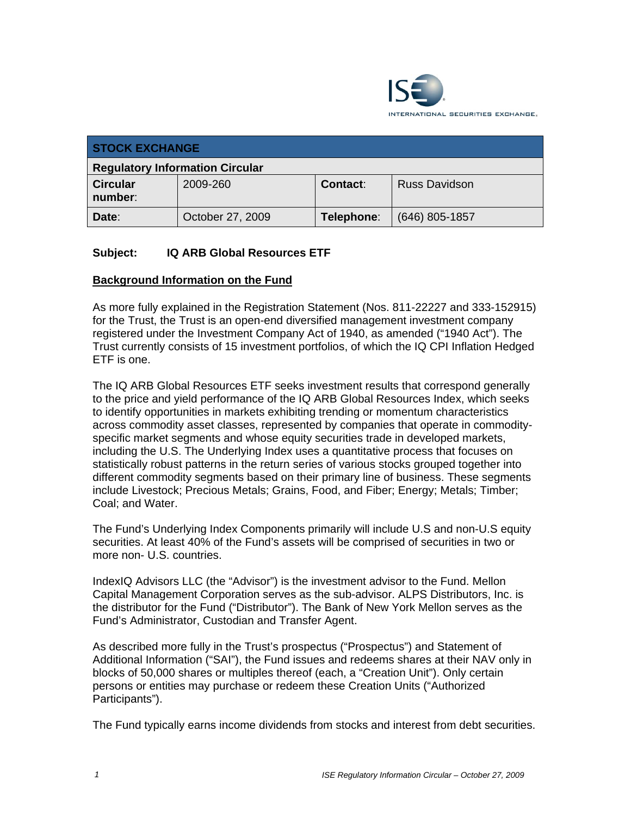

| <b>STOCK EXCHANGE</b>                  |                  |                 |                      |  |
|----------------------------------------|------------------|-----------------|----------------------|--|
| <b>Regulatory Information Circular</b> |                  |                 |                      |  |
| <b>Circular</b><br>number:             | 2009-260         | <b>Contact:</b> | <b>Russ Davidson</b> |  |
| Date:                                  | October 27, 2009 | Telephone:      | $(646)$ 805-1857     |  |

## **Subject: IQ ARB Global Resources ETF**

#### **Background Information on the Fund**

As more fully explained in the Registration Statement (Nos. 811-22227 and 333-152915) for the Trust, the Trust is an open-end diversified management investment company registered under the Investment Company Act of 1940, as amended ("1940 Act"). The Trust currently consists of 15 investment portfolios, of which the IQ CPI Inflation Hedged ETF is one.

The IQ ARB Global Resources ETF seeks investment results that correspond generally to the price and yield performance of the IQ ARB Global Resources Index, which seeks to identify opportunities in markets exhibiting trending or momentum characteristics across commodity asset classes, represented by companies that operate in commodityspecific market segments and whose equity securities trade in developed markets, including the U.S. The Underlying Index uses a quantitative process that focuses on statistically robust patterns in the return series of various stocks grouped together into different commodity segments based on their primary line of business. These segments include Livestock; Precious Metals; Grains, Food, and Fiber; Energy; Metals; Timber; Coal; and Water.

The Fund's Underlying Index Components primarily will include U.S and non-U.S equity securities. At least 40% of the Fund's assets will be comprised of securities in two or more non- U.S. countries.

IndexIQ Advisors LLC (the "Advisor") is the investment advisor to the Fund. Mellon Capital Management Corporation serves as the sub-advisor. ALPS Distributors, Inc. is the distributor for the Fund ("Distributor"). The Bank of New York Mellon serves as the Fund's Administrator, Custodian and Transfer Agent.

As described more fully in the Trust's prospectus ("Prospectus") and Statement of Additional Information ("SAI"), the Fund issues and redeems shares at their NAV only in blocks of 50,000 shares or multiples thereof (each, a "Creation Unit"). Only certain persons or entities may purchase or redeem these Creation Units ("Authorized Participants").

The Fund typically earns income dividends from stocks and interest from debt securities.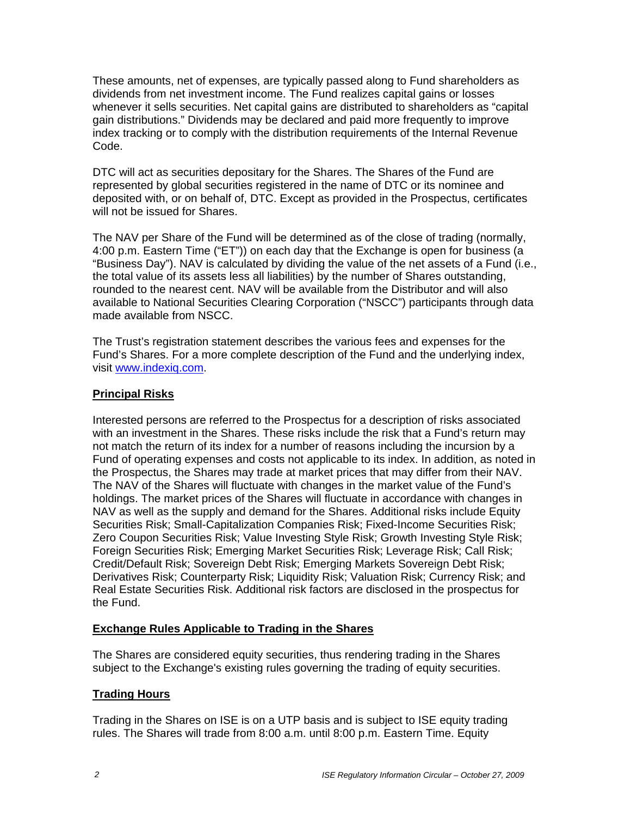These amounts, net of expenses, are typically passed along to Fund shareholders as dividends from net investment income. The Fund realizes capital gains or losses whenever it sells securities. Net capital gains are distributed to shareholders as "capital gain distributions." Dividends may be declared and paid more frequently to improve index tracking or to comply with the distribution requirements of the Internal Revenue Code.

DTC will act as securities depositary for the Shares. The Shares of the Fund are represented by global securities registered in the name of DTC or its nominee and deposited with, or on behalf of, DTC. Except as provided in the Prospectus, certificates will not be issued for Shares.

The NAV per Share of the Fund will be determined as of the close of trading (normally, 4:00 p.m. Eastern Time ("ET")) on each day that the Exchange is open for business (a "Business Day"). NAV is calculated by dividing the value of the net assets of a Fund (i.e., the total value of its assets less all liabilities) by the number of Shares outstanding, rounded to the nearest cent. NAV will be available from the Distributor and will also available to National Securities Clearing Corporation ("NSCC") participants through data made available from NSCC.

The Trust's registration statement describes the various fees and expenses for the Fund's Shares. For a more complete description of the Fund and the underlying index, visit www.indexiq.com.

## **Principal Risks**

Interested persons are referred to the Prospectus for a description of risks associated with an investment in the Shares. These risks include the risk that a Fund's return may not match the return of its index for a number of reasons including the incursion by a Fund of operating expenses and costs not applicable to its index. In addition, as noted in the Prospectus, the Shares may trade at market prices that may differ from their NAV. The NAV of the Shares will fluctuate with changes in the market value of the Fund's holdings. The market prices of the Shares will fluctuate in accordance with changes in NAV as well as the supply and demand for the Shares. Additional risks include Equity Securities Risk; Small-Capitalization Companies Risk; Fixed-Income Securities Risk; Zero Coupon Securities Risk; Value Investing Style Risk; Growth Investing Style Risk; Foreign Securities Risk; Emerging Market Securities Risk; Leverage Risk; Call Risk; Credit/Default Risk; Sovereign Debt Risk; Emerging Markets Sovereign Debt Risk; Derivatives Risk; Counterparty Risk; Liquidity Risk; Valuation Risk; Currency Risk; and Real Estate Securities Risk. Additional risk factors are disclosed in the prospectus for the Fund.

#### **Exchange Rules Applicable to Trading in the Shares**

The Shares are considered equity securities, thus rendering trading in the Shares subject to the Exchange's existing rules governing the trading of equity securities.

# **Trading Hours**

Trading in the Shares on ISE is on a UTP basis and is subject to ISE equity trading rules. The Shares will trade from 8:00 a.m. until 8:00 p.m. Eastern Time. Equity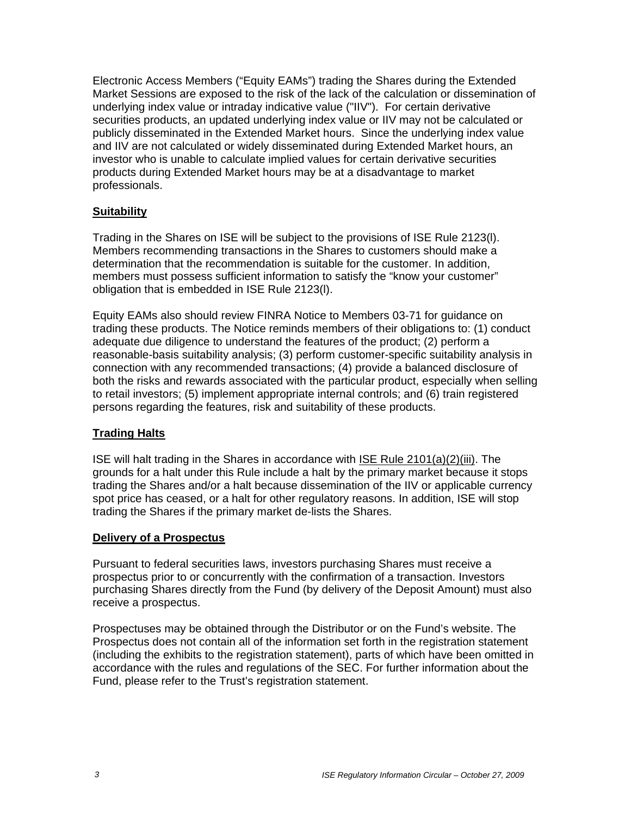Electronic Access Members ("Equity EAMs") trading the Shares during the Extended Market Sessions are exposed to the risk of the lack of the calculation or dissemination of underlying index value or intraday indicative value ("IIV"). For certain derivative securities products, an updated underlying index value or IIV may not be calculated or publicly disseminated in the Extended Market hours. Since the underlying index value and IIV are not calculated or widely disseminated during Extended Market hours, an investor who is unable to calculate implied values for certain derivative securities products during Extended Market hours may be at a disadvantage to market professionals.

#### **Suitability**

Trading in the Shares on ISE will be subject to the provisions of ISE Rule 2123(l). Members recommending transactions in the Shares to customers should make a determination that the recommendation is suitable for the customer. In addition, members must possess sufficient information to satisfy the "know your customer" obligation that is embedded in ISE Rule 2123(l).

Equity EAMs also should review FINRA Notice to Members 03-71 for guidance on trading these products. The Notice reminds members of their obligations to: (1) conduct adequate due diligence to understand the features of the product; (2) perform a reasonable-basis suitability analysis; (3) perform customer-specific suitability analysis in connection with any recommended transactions; (4) provide a balanced disclosure of both the risks and rewards associated with the particular product, especially when selling to retail investors; (5) implement appropriate internal controls; and (6) train registered persons regarding the features, risk and suitability of these products.

#### **Trading Halts**

ISE will halt trading in the Shares in accordance with ISE Rule 2101(a)(2)(iii). The grounds for a halt under this Rule include a halt by the primary market because it stops trading the Shares and/or a halt because dissemination of the IIV or applicable currency spot price has ceased, or a halt for other regulatory reasons. In addition, ISE will stop trading the Shares if the primary market de-lists the Shares.

#### **Delivery of a Prospectus**

Pursuant to federal securities laws, investors purchasing Shares must receive a prospectus prior to or concurrently with the confirmation of a transaction. Investors purchasing Shares directly from the Fund (by delivery of the Deposit Amount) must also receive a prospectus.

Prospectuses may be obtained through the Distributor or on the Fund's website. The Prospectus does not contain all of the information set forth in the registration statement (including the exhibits to the registration statement), parts of which have been omitted in accordance with the rules and regulations of the SEC. For further information about the Fund, please refer to the Trust's registration statement.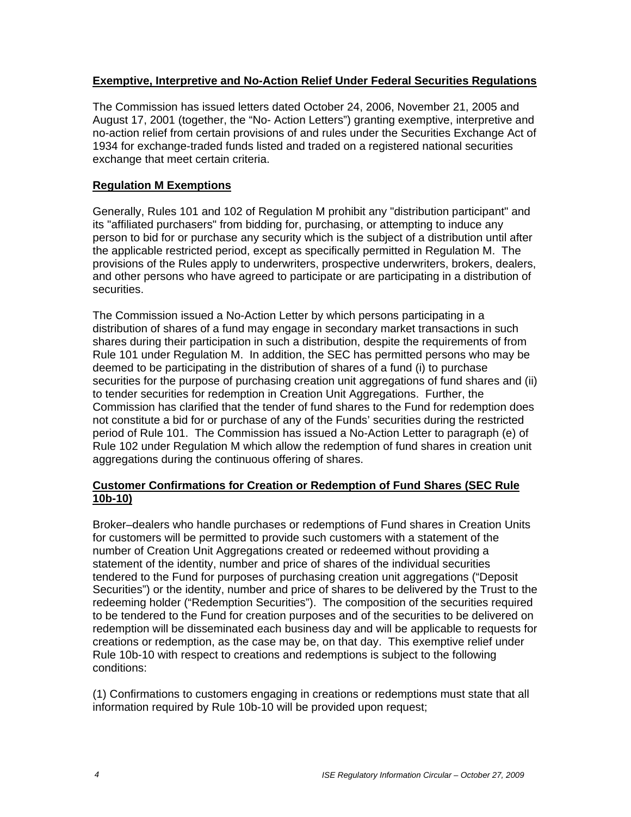#### **Exemptive, Interpretive and No-Action Relief Under Federal Securities Regulations**

The Commission has issued letters dated October 24, 2006, November 21, 2005 and August 17, 2001 (together, the "No- Action Letters") granting exemptive, interpretive and no-action relief from certain provisions of and rules under the Securities Exchange Act of 1934 for exchange-traded funds listed and traded on a registered national securities exchange that meet certain criteria.

#### **Regulation M Exemptions**

Generally, Rules 101 and 102 of Regulation M prohibit any "distribution participant" and its "affiliated purchasers" from bidding for, purchasing, or attempting to induce any person to bid for or purchase any security which is the subject of a distribution until after the applicable restricted period, except as specifically permitted in Regulation M. The provisions of the Rules apply to underwriters, prospective underwriters, brokers, dealers, and other persons who have agreed to participate or are participating in a distribution of securities.

The Commission issued a No-Action Letter by which persons participating in a distribution of shares of a fund may engage in secondary market transactions in such shares during their participation in such a distribution, despite the requirements of from Rule 101 under Regulation M. In addition, the SEC has permitted persons who may be deemed to be participating in the distribution of shares of a fund (i) to purchase securities for the purpose of purchasing creation unit aggregations of fund shares and (ii) to tender securities for redemption in Creation Unit Aggregations. Further, the Commission has clarified that the tender of fund shares to the Fund for redemption does not constitute a bid for or purchase of any of the Funds' securities during the restricted period of Rule 101. The Commission has issued a No-Action Letter to paragraph (e) of Rule 102 under Regulation M which allow the redemption of fund shares in creation unit aggregations during the continuous offering of shares.

## **Customer Confirmations for Creation or Redemption of Fund Shares (SEC Rule 10b-10)**

Broker–dealers who handle purchases or redemptions of Fund shares in Creation Units for customers will be permitted to provide such customers with a statement of the number of Creation Unit Aggregations created or redeemed without providing a statement of the identity, number and price of shares of the individual securities tendered to the Fund for purposes of purchasing creation unit aggregations ("Deposit Securities") or the identity, number and price of shares to be delivered by the Trust to the redeeming holder ("Redemption Securities"). The composition of the securities required to be tendered to the Fund for creation purposes and of the securities to be delivered on redemption will be disseminated each business day and will be applicable to requests for creations or redemption, as the case may be, on that day. This exemptive relief under Rule 10b-10 with respect to creations and redemptions is subject to the following conditions:

(1) Confirmations to customers engaging in creations or redemptions must state that all information required by Rule 10b-10 will be provided upon request;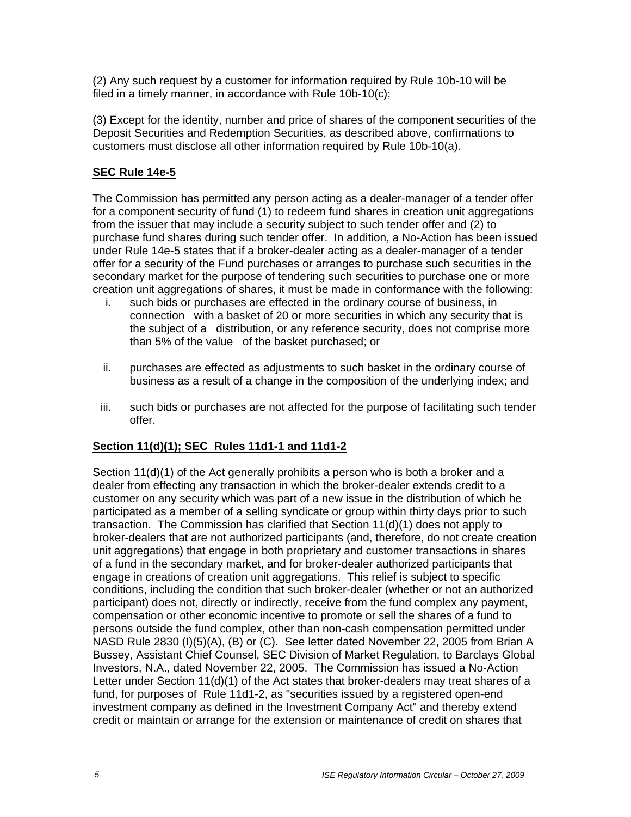(2) Any such request by a customer for information required by Rule 10b-10 will be filed in a timely manner, in accordance with Rule 10b-10(c);

(3) Except for the identity, number and price of shares of the component securities of the Deposit Securities and Redemption Securities, as described above, confirmations to customers must disclose all other information required by Rule 10b-10(a).

## **SEC Rule 14e-5**

The Commission has permitted any person acting as a dealer-manager of a tender offer for a component security of fund (1) to redeem fund shares in creation unit aggregations from the issuer that may include a security subject to such tender offer and (2) to purchase fund shares during such tender offer. In addition, a No-Action has been issued under Rule 14e-5 states that if a broker-dealer acting as a dealer-manager of a tender offer for a security of the Fund purchases or arranges to purchase such securities in the secondary market for the purpose of tendering such securities to purchase one or more creation unit aggregations of shares, it must be made in conformance with the following:

- i. such bids or purchases are effected in the ordinary course of business, in connection with a basket of 20 or more securities in which any security that is the subject of a distribution, or any reference security, does not comprise more than 5% of the value of the basket purchased; or
- ii. purchases are effected as adjustments to such basket in the ordinary course of business as a result of a change in the composition of the underlying index; and
- iii. such bids or purchases are not affected for the purpose of facilitating such tender offer.

# **Section 11(d)(1); SEC Rules 11d1-1 and 11d1-2**

Section 11(d)(1) of the Act generally prohibits a person who is both a broker and a dealer from effecting any transaction in which the broker-dealer extends credit to a customer on any security which was part of a new issue in the distribution of which he participated as a member of a selling syndicate or group within thirty days prior to such transaction. The Commission has clarified that Section 11(d)(1) does not apply to broker-dealers that are not authorized participants (and, therefore, do not create creation unit aggregations) that engage in both proprietary and customer transactions in shares of a fund in the secondary market, and for broker-dealer authorized participants that engage in creations of creation unit aggregations. This relief is subject to specific conditions, including the condition that such broker-dealer (whether or not an authorized participant) does not, directly or indirectly, receive from the fund complex any payment, compensation or other economic incentive to promote or sell the shares of a fund to persons outside the fund complex, other than non-cash compensation permitted under NASD Rule 2830 (I)(5)(A), (B) or (C). See letter dated November 22, 2005 from Brian A Bussey, Assistant Chief Counsel, SEC Division of Market Regulation, to Barclays Global Investors, N.A., dated November 22, 2005. The Commission has issued a No-Action Letter under Section 11(d)(1) of the Act states that broker-dealers may treat shares of a fund, for purposes of Rule 11d1-2, as "securities issued by a registered open-end investment company as defined in the Investment Company Act" and thereby extend credit or maintain or arrange for the extension or maintenance of credit on shares that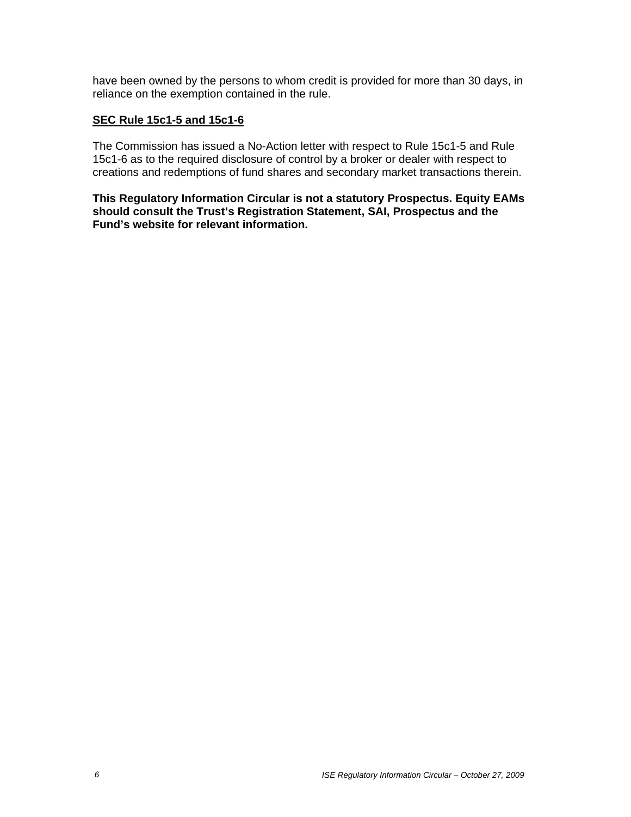have been owned by the persons to whom credit is provided for more than 30 days, in reliance on the exemption contained in the rule.

#### **SEC Rule 15c1-5 and 15c1-6**

The Commission has issued a No-Action letter with respect to Rule 15c1-5 and Rule 15c1-6 as to the required disclosure of control by a broker or dealer with respect to creations and redemptions of fund shares and secondary market transactions therein.

**This Regulatory Information Circular is not a statutory Prospectus. Equity EAMs should consult the Trust's Registration Statement, SAI, Prospectus and the Fund's website for relevant information.**